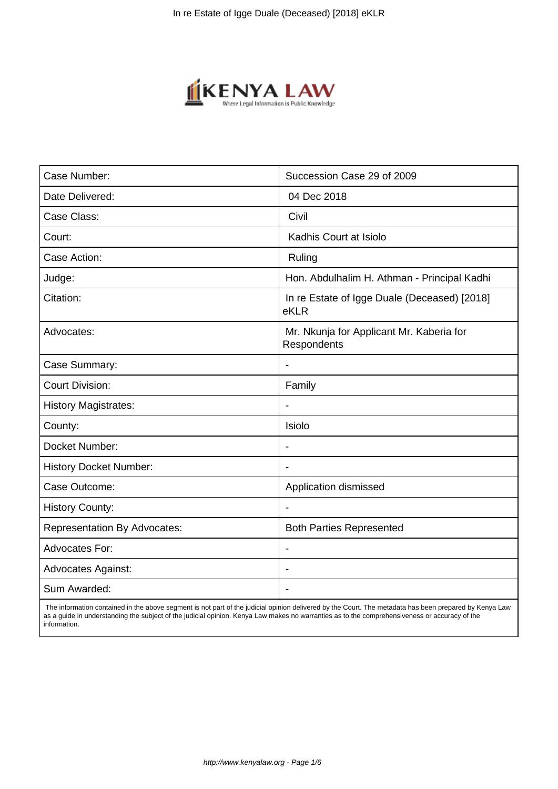

| Succession Case 29 of 2009                              |
|---------------------------------------------------------|
| 04 Dec 2018                                             |
| Civil                                                   |
|                                                         |
| Kadhis Court at Isiolo                                  |
| Ruling                                                  |
| Hon. Abdulhalim H. Athman - Principal Kadhi             |
| In re Estate of Igge Duale (Deceased) [2018]<br>eKLR    |
| Mr. Nkunja for Applicant Mr. Kaberia for<br>Respondents |
| $\blacksquare$                                          |
| Family                                                  |
|                                                         |
| Isiolo                                                  |
| $\overline{\phantom{a}}$                                |
| $\blacksquare$                                          |
| Application dismissed                                   |
|                                                         |
| <b>Both Parties Represented</b>                         |
|                                                         |
|                                                         |
|                                                         |
|                                                         |

 The information contained in the above segment is not part of the judicial opinion delivered by the Court. The metadata has been prepared by Kenya Law as a guide in understanding the subject of the judicial opinion. Kenya Law makes no warranties as to the comprehensiveness or accuracy of the information.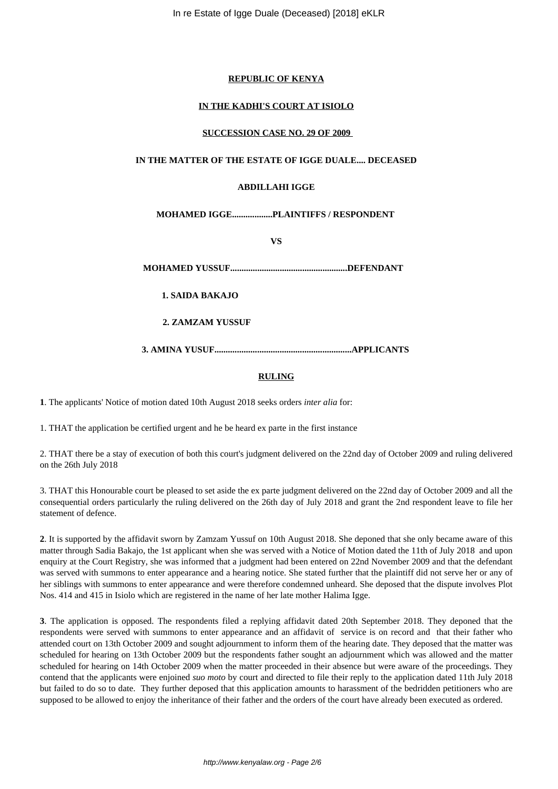## **REPUBLIC OF KENYA**

# **IN THE KADHI'S COURT AT ISIOLO**

## **SUCCESSION CASE NO. 29 OF 2009**

## **IN THE MATTER OF THE ESTATE OF IGGE DUALE.... DECEASED**

## **ABDILLAHI IGGE**

# **MOHAMED IGGE..................PLAINTIFFS / RESPONDENT**

**VS**

**MOHAMED YUSSUF....................................................DEFENDANT**

**1. SAIDA BAKAJO**

**2. ZAMZAM YUSSUF**

**3. AMINA YUSUF.............................................................APPLICANTS** 

# **RULING**

**1**. The applicants' Notice of motion dated 10th August 2018 seeks orders *inter alia* for:

1. THAT the application be certified urgent and he be heard ex parte in the first instance

2. THAT there be a stay of execution of both this court's judgment delivered on the 22nd day of October 2009 and ruling delivered on the 26th July 2018

3. THAT this Honourable court be pleased to set aside the ex parte judgment delivered on the 22nd day of October 2009 and all the consequential orders particularly the ruling delivered on the 26th day of July 2018 and grant the 2nd respondent leave to file her statement of defence.

**2**. It is supported by the affidavit sworn by Zamzam Yussuf on 10th August 2018. She deponed that she only became aware of this matter through Sadia Bakajo, the 1st applicant when she was served with a Notice of Motion dated the 11th of July 2018 and upon enquiry at the Court Registry, she was informed that a judgment had been entered on 22nd November 2009 and that the defendant was served with summons to enter appearance and a hearing notice. She stated further that the plaintiff did not serve her or any of her siblings with summons to enter appearance and were therefore condemned unheard. She deposed that the dispute involves Plot Nos. 414 and 415 in Isiolo which are registered in the name of her late mother Halima Igge.

**3**. The application is opposed. The respondents filed a replying affidavit dated 20th September 2018. They deponed that the respondents were served with summons to enter appearance and an affidavit of service is on record and that their father who attended court on 13th October 2009 and sought adjournment to inform them of the hearing date. They deposed that the matter was scheduled for hearing on 13th October 2009 but the respondents father sought an adjournment which was allowed and the matter scheduled for hearing on 14th October 2009 when the matter proceeded in their absence but were aware of the proceedings. They contend that the applicants were enjoined *suo moto* by court and directed to file their reply to the application dated 11th July 2018 but failed to do so to date. They further deposed that this application amounts to harassment of the bedridden petitioners who are supposed to be allowed to enjoy the inheritance of their father and the orders of the court have already been executed as ordered.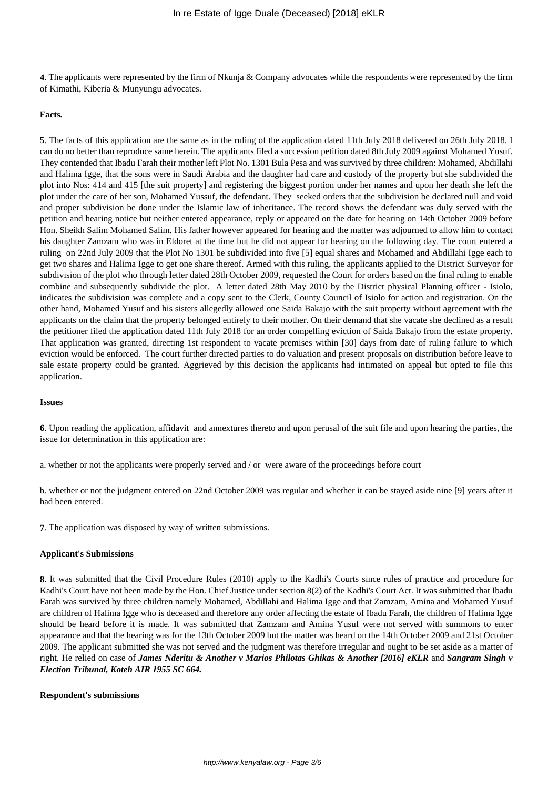**4**. The applicants were represented by the firm of Nkunja & Company advocates while the respondents were represented by the firm of Kimathi, Kiberia & Munyungu advocates.

#### **Facts.**

**5**. The facts of this application are the same as in the ruling of the application dated 11th July 2018 delivered on 26th July 2018. I can do no better than reproduce same herein. The applicants filed a succession petition dated 8th July 2009 against Mohamed Yusuf. They contended that Ibadu Farah their mother left Plot No. 1301 Bula Pesa and was survived by three children: Mohamed, Abdillahi and Halima Igge, that the sons were in Saudi Arabia and the daughter had care and custody of the property but she subdivided the plot into Nos: 414 and 415 [the suit property] and registering the biggest portion under her names and upon her death she left the plot under the care of her son, Mohamed Yussuf, the defendant. They seeked orders that the subdivision be declared null and void and proper subdivision be done under the Islamic law of inheritance. The record shows the defendant was duly served with the petition and hearing notice but neither entered appearance, reply or appeared on the date for hearing on 14th October 2009 before Hon. Sheikh Salim Mohamed Salim. His father however appeared for hearing and the matter was adjourned to allow him to contact his daughter Zamzam who was in Eldoret at the time but he did not appear for hearing on the following day. The court entered a ruling on 22nd July 2009 that the Plot No 1301 be subdivided into five [5] equal shares and Mohamed and Abdillahi Igge each to get two shares and Halima Igge to get one share thereof. Armed with this ruling, the applicants applied to the District Surveyor for subdivision of the plot who through letter dated 28th October 2009, requested the Court for orders based on the final ruling to enable combine and subsequently subdivide the plot. A letter dated 28th May 2010 by the District physical Planning officer - Isiolo, indicates the subdivision was complete and a copy sent to the Clerk, County Council of Isiolo for action and registration. On the other hand, Mohamed Yusuf and his sisters allegedly allowed one Saida Bakajo with the suit property without agreement with the applicants on the claim that the property belonged entirely to their mother. On their demand that she vacate she declined as a result the petitioner filed the application dated 11th July 2018 for an order compelling eviction of Saida Bakajo from the estate property. That application was granted, directing 1st respondent to vacate premises within [30] days from date of ruling failure to which eviction would be enforced. The court further directed parties to do valuation and present proposals on distribution before leave to sale estate property could be granted. Aggrieved by this decision the applicants had intimated on appeal but opted to file this application.

#### **Issues**

**6**. Upon reading the application, affidavit and annextures thereto and upon perusal of the suit file and upon hearing the parties, the issue for determination in this application are:

a. whether or not the applicants were properly served and / or were aware of the proceedings before court

b. whether or not the judgment entered on 22nd October 2009 was regular and whether it can be stayed aside nine [9] years after it had been entered.

**7**. The application was disposed by way of written submissions.

#### **Applicant's Submissions**

**8**. It was submitted that the Civil Procedure Rules (2010) apply to the Kadhi's Courts since rules of practice and procedure for Kadhi's Court have not been made by the Hon. Chief Justice under section 8(2) of the Kadhi's Court Act. It was submitted that Ibadu Farah was survived by three children namely Mohamed, Abdillahi and Halima Igge and that Zamzam, Amina and Mohamed Yusuf are children of Halima Igge who is deceased and therefore any order affecting the estate of Ibadu Farah, the children of Halima Igge should be heard before it is made. It was submitted that Zamzam and Amina Yusuf were not served with summons to enter appearance and that the hearing was for the 13th October 2009 but the matter was heard on the 14th October 2009 and 21st October 2009. The applicant submitted she was not served and the judgment was therefore irregular and ought to be set aside as a matter of right. He relied on case of *James Nderitu & Another v Marios Philotas Ghikas & Another [2016] eKLR* and *Sangram Singh v Election Tribunal, Koteh AIR 1955 SC 664.* 

#### **Respondent's submissions**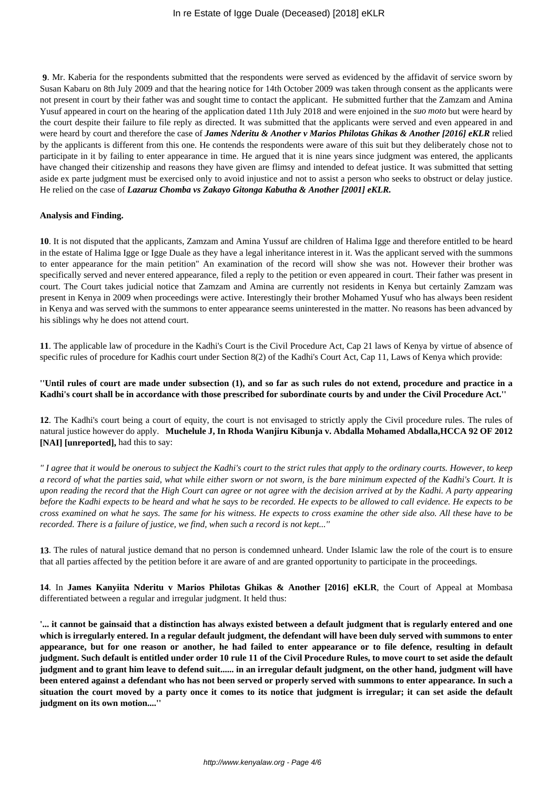**9**. Mr. Kaberia for the respondents submitted that the respondents were served as evidenced by the affidavit of service sworn by Susan Kabaru on 8th July 2009 and that the hearing notice for 14th October 2009 was taken through consent as the applicants were not present in court by their father was and sought time to contact the applicant. He submitted further that the Zamzam and Amina Yusuf appeared in court on the hearing of the application dated 11th July 2018 and were enjoined in the *suo moto* but were heard by the court despite their failure to file reply as directed. It was submitted that the applicants were served and even appeared in and were heard by court and therefore the case of *James Nderitu & Another v Marios Philotas Ghikas & Another [2016] eKLR* relied by the applicants is different from this one. He contends the respondents were aware of this suit but they deliberately chose not to participate in it by failing to enter appearance in time. He argued that it is nine years since judgment was entered, the applicants have changed their citizenship and reasons they have given are flimsy and intended to defeat justice. It was submitted that setting aside ex parte judgment must be exercised only to avoid injustice and not to assist a person who seeks to obstruct or delay justice. He relied on the case of *Lazaruz Chomba vs Zakayo Gitonga Kabutha & Another [2001] eKLR.* 

### **Analysis and Finding.**

**10**. It is not disputed that the applicants, Zamzam and Amina Yussuf are children of Halima Igge and therefore entitled to be heard in the estate of Halima Igge or Igge Duale as they have a legal inheritance interest in it. Was the applicant served with the summons to enter appearance for the main petition" An examination of the record will show she was not. However their brother was specifically served and never entered appearance, filed a reply to the petition or even appeared in court. Their father was present in court. The Court takes judicial notice that Zamzam and Amina are currently not residents in Kenya but certainly Zamzam was present in Kenya in 2009 when proceedings were active. Interestingly their brother Mohamed Yusuf who has always been resident in Kenya and was served with the summons to enter appearance seems uninterested in the matter. No reasons has been advanced by his siblings why he does not attend court.

**11**. The applicable law of procedure in the Kadhi's Court is the Civil Procedure Act, Cap 21 laws of Kenya by virtue of absence of specific rules of procedure for Kadhis court under Section 8(2) of the Kadhi's Court Act, Cap 11, Laws of Kenya which provide:

**''Until rules of court are made under subsection (1), and so far as such rules do not extend, procedure and practice in a Kadhi's court shall be in accordance with those prescribed for subordinate courts by and under the Civil Procedure Act.''**

**12**. The Kadhi's court being a court of equity, the court is not envisaged to strictly apply the Civil procedure rules. The rules of natural justice however do apply. **Muchelule J, In Rhoda Wanjiru Kibunja v. Abdalla Mohamed Abdalla,HCCA 92 OF 2012 [NAI] [unreported],** had this to say:

*'' I agree that it would be onerous to subject the Kadhi's court to the strict rules that apply to the ordinary courts. However, to keep a record of what the parties said, what while either sworn or not sworn, is the bare minimum expected of the Kadhi's Court. It is upon reading the record that the High Court can agree or not agree with the decision arrived at by the Kadhi. A party appearing before the Kadhi expects to be heard and what he says to be recorded. He expects to be allowed to call evidence. He expects to be cross examined on what he says. The same for his witness. He expects to cross examine the other side also. All these have to be recorded. There is a failure of justice, we find, when such a record is not kept...''*

**13**. The rules of natural justice demand that no person is condemned unheard. Under Islamic law the role of the court is to ensure that all parties affected by the petition before it are aware of and are granted opportunity to participate in the proceedings.

**14**. In **James Kanyiita Nderitu v Marios Philotas Ghikas & Another [2016] eKLR**, the Court of Appeal at Mombasa differentiated between a regular and irregular judgment. It held thus:

**'... it cannot be gainsaid that a distinction has always existed between a default judgment that is regularly entered and one which is irregularly entered. In a regular default judgment, the defendant will have been duly served with summons to enter appearance, but for one reason or another, he had failed to enter appearance or to file defence, resulting in default judgment. Such default is entitled under order 10 rule 11 of the Civil Procedure Rules, to move court to set aside the default judgment and to grant him leave to defend suit...... in an irregular default judgment, on the other hand, judgment will have been entered against a defendant who has not been served or properly served with summons to enter appearance. In such a situation the court moved by a party once it comes to its notice that judgment is irregular; it can set aside the default judgment on its own motion....''**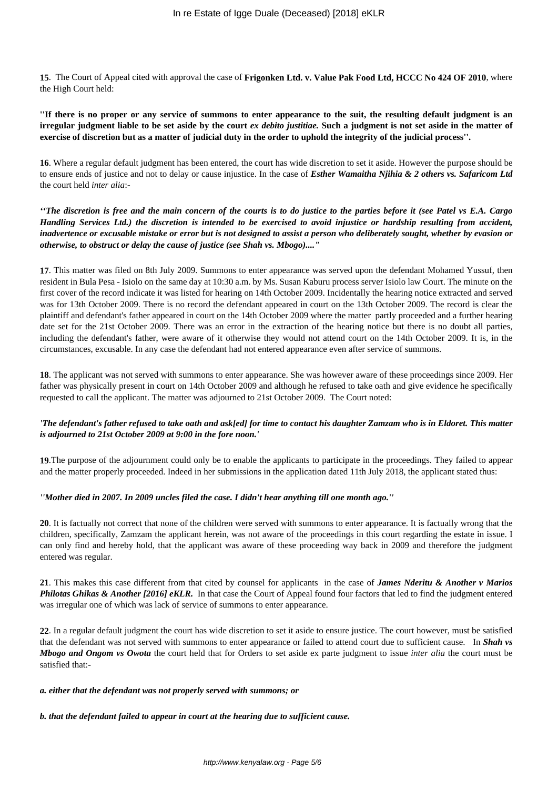**15**. The Court of Appeal cited with approval the case of **Frigonken Ltd. v. Value Pak Food Ltd, HCCC No 424 OF 2010**, where the High Court held:

**''If there is no proper or any service of summons to enter appearance to the suit, the resulting default judgment is an irregular judgment liable to be set aside by the court** *ex debito justitiae.* **Such a judgment is not set aside in the matter of exercise of discretion but as a matter of judicial duty in the order to uphold the integrity of the judicial process''.** 

**16**. Where a regular default judgment has been entered, the court has wide discretion to set it aside. However the purpose should be to ensure ends of justice and not to delay or cause injustice. In the case of *Esther Wamaitha Njihia & 2 others vs. Safaricom Ltd* the court held *inter alia*:-

*''The discretion is free and the main concern of the courts is to do justice to the parties before it (see Patel vs E.A. Cargo Handling Services Ltd.) the discretion is intended to be exercised to avoid injustice or hardship resulting from accident, inadvertence or excusable mistake or error but is not designed to assist a person who deliberately sought, whether by evasion or otherwise, to obstruct or delay the cause of justice (see Shah vs. Mbogo)...."*

**17**. This matter was filed on 8th July 2009. Summons to enter appearance was served upon the defendant Mohamed Yussuf, then resident in Bula Pesa - Isiolo on the same day at 10:30 a.m. by Ms. Susan Kaburu process server Isiolo law Court. The minute on the first cover of the record indicate it was listed for hearing on 14th October 2009. Incidentally the hearing notice extracted and served was for 13th October 2009. There is no record the defendant appeared in court on the 13th October 2009. The record is clear the plaintiff and defendant's father appeared in court on the 14th October 2009 where the matter partly proceeded and a further hearing date set for the 21st October 2009. There was an error in the extraction of the hearing notice but there is no doubt all parties, including the defendant's father, were aware of it otherwise they would not attend court on the 14th October 2009. It is, in the circumstances, excusable. In any case the defendant had not entered appearance even after service of summons.

**18**. The applicant was not served with summons to enter appearance. She was however aware of these proceedings since 2009. Her father was physically present in court on 14th October 2009 and although he refused to take oath and give evidence he specifically requested to call the applicant. The matter was adjourned to 21st October 2009. The Court noted:

# *'The defendant's father refused to take oath and ask[ed] for time to contact his daughter Zamzam who is in Eldoret. This matter is adjourned to 21st October 2009 at 9:00 in the fore noon.'*

**19**.The purpose of the adjournment could only be to enable the applicants to participate in the proceedings. They failed to appear and the matter properly proceeded. Indeed in her submissions in the application dated 11th July 2018, the applicant stated thus:

## *''Mother died in 2007. In 2009 uncles filed the case. I didn't hear anything till one month ago.''*

**20**. It is factually not correct that none of the children were served with summons to enter appearance. It is factually wrong that the children, specifically, Zamzam the applicant herein, was not aware of the proceedings in this court regarding the estate in issue. I can only find and hereby hold, that the applicant was aware of these proceeding way back in 2009 and therefore the judgment entered was regular.

**21**. This makes this case different from that cited by counsel for applicants in the case of *James Nderitu & Another v Marios Philotas Ghikas & Another [2016] eKLR.* In that case the Court of Appeal found four factors that led to find the judgment entered was irregular one of which was lack of service of summons to enter appearance.

**22**. In a regular default judgment the court has wide discretion to set it aside to ensure justice. The court however, must be satisfied that the defendant was not served with summons to enter appearance or failed to attend court due to sufficient cause. In *Shah vs Mbogo and Ongom vs Owota* the court held that for Orders to set aside ex parte judgment to issue *inter alia* the court must be satisfied that:-

#### *a. either that the defendant was not properly served with summons; or*

*b. that the defendant failed to appear in court at the hearing due to sufficient cause.*